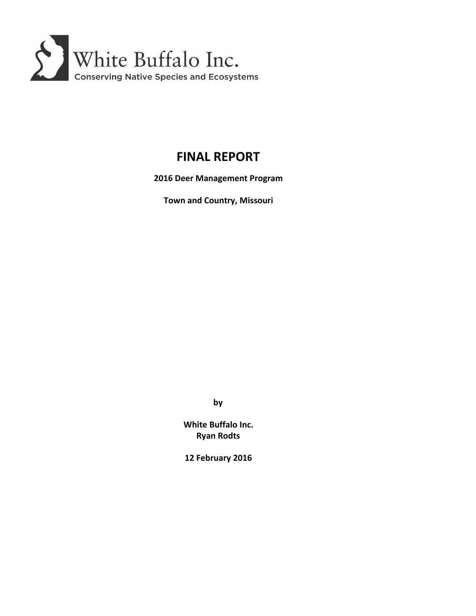

# **FINAL REPORT**

**2016 Deer Management Program**

**Town and Country, Missouri**

**by**

**White Buffalo Inc. Ryan Rodts**

**12 February 2016**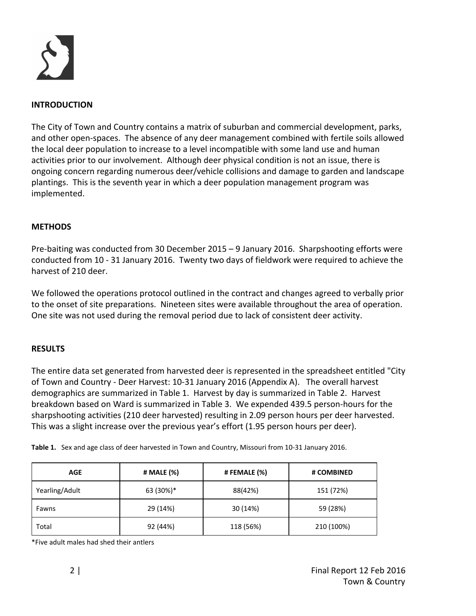

#### **INTRODUCTION**

The City of Town and Country contains a matrix of suburban and commercial development, parks, and other open‐spaces. The absence of any deer management combined with fertile soils allowed the local deer population to increase to a level incompatible with some land use and human activities prior to our involvement. Although deer physical condition is not an issue, there is ongoing concern regarding numerous deer/vehicle collisions and damage to garden and landscape plantings. This is the seventh year in which a deer population management program was implemented.

#### **METHODS**

Pre‐baiting was conducted from 30 December 2015 – 9 January 2016. Sharpshooting efforts were conducted from 10 ‐ 31 January 2016. Twenty two days of fieldwork were required to achieve the harvest of 210 deer.

We followed the operations protocol outlined in the contract and changes agreed to verbally prior to the onset of site preparations. Nineteen sites were available throughout the area of operation. One site was not used during the removal period due to lack of consistent deer activity.

#### **RESULTS**

The entire data set generated from harvested deer is represented in the spreadsheet entitled "City of Town and Country ‐ Deer Harvest: 10‐31 January 2016 (Appendix A). The overall harvest demographics are summarized in Table 1. Harvest by day is summarized in Table 2. Harvest breakdown based on Ward is summarized in Table 3. We expended 439.5 person‐hours for the sharpshooting activities (210 deer harvested) resulting in 2.09 person hours per deer harvested. This was a slight increase over the previous year's effort (1.95 person hours per deer).

| <b>AGE</b>     | # MALE (%) | # FEMALE (%) | # COMBINED |
|----------------|------------|--------------|------------|
| Yearling/Adult | 63 (30%)*  | 88(42%)      | 151 (72%)  |
| Fawns          | 29 (14%)   | 30 (14%)     | 59 (28%)   |
| Total          | 92 (44%)   | 118 (56%)    | 210 (100%) |

\*Five adult males had shed their antlers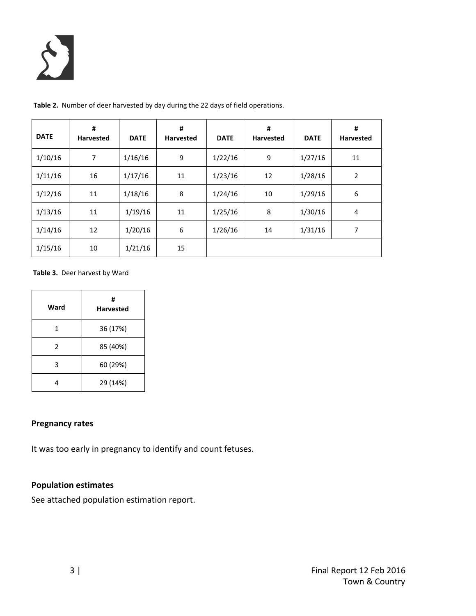

| <b>DATE</b> | #<br><b>Harvested</b> | <b>DATE</b> | #<br><b>Harvested</b> | <b>DATE</b> | #<br><b>Harvested</b> | <b>DATE</b> | #<br><b>Harvested</b> |
|-------------|-----------------------|-------------|-----------------------|-------------|-----------------------|-------------|-----------------------|
| 1/10/16     | 7                     | 1/16/16     | 9                     | 1/22/16     | 9                     | 1/27/16     | 11                    |
| 1/11/16     | 16                    | 1/17/16     | 11                    | 1/23/16     | 12                    | 1/28/16     | $\overline{2}$        |
| 1/12/16     | 11                    | 1/18/16     | 8                     | 1/24/16     | 10                    | 1/29/16     | 6                     |
| 1/13/16     | 11                    | 1/19/16     | 11                    | 1/25/16     | 8                     | 1/30/16     | 4                     |
| 1/14/16     | 12                    | 1/20/16     | 6                     | 1/26/16     | 14                    | 1/31/16     | 7                     |
| 1/15/16     | 10                    | 1/21/16     | 15                    |             |                       |             |                       |

**Table 2.** Number of deer harvested by day during the 22 days of field operations.

#### **Table 3.** Deer harvest by Ward

| Ward | #<br><b>Harvested</b> |
|------|-----------------------|
| 1    | 36 (17%)              |
| 2    | 85 (40%)              |
| 3    | 60 (29%)              |
|      | 29 (14%)              |

#### **Pregnancy rates**

It was too early in pregnancy to identify and count fetuses.

### **Population estimates**

See attached population estimation report.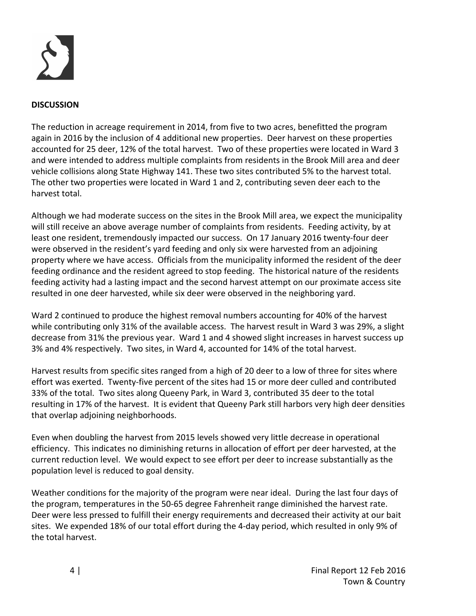

#### **DISCUSSION**

The reduction in acreage requirement in 2014, from five to two acres, benefitted the program again in 2016 by the inclusion of 4 additional new properties. Deer harvest on these properties accounted for 25 deer, 12% of the total harvest. Two of these properties were located in Ward 3 and were intended to address multiple complaints from residents in the Brook Mill area and deer vehicle collisions along State Highway 141. These two sites contributed 5% to the harvest total. The other two properties were located in Ward 1 and 2, contributing seven deer each to the harvest total.

Although we had moderate success on the sites in the Brook Mill area, we expect the municipality will still receive an above average number of complaints from residents. Feeding activity, by at least one resident, tremendously impacted our success. On 17 January 2016 twenty‐four deer were observed in the resident's yard feeding and only six were harvested from an adjoining property where we have access. Officials from the municipality informed the resident of the deer feeding ordinance and the resident agreed to stop feeding. The historical nature of the residents feeding activity had a lasting impact and the second harvest attempt on our proximate access site resulted in one deer harvested, while six deer were observed in the neighboring yard.

Ward 2 continued to produce the highest removal numbers accounting for 40% of the harvest while contributing only 31% of the available access. The harvest result in Ward 3 was 29%, a slight decrease from 31% the previous year. Ward 1 and 4 showed slight increases in harvest success up 3% and 4% respectively. Two sites, in Ward 4, accounted for 14% of the total harvest.

Harvest results from specific sites ranged from a high of 20 deer to a low of three for sites where effort was exerted. Twenty‐five percent of the sites had 15 or more deer culled and contributed 33% of the total. Two sites along Queeny Park, in Ward 3, contributed 35 deer to the total resulting in 17% of the harvest. It is evident that Queeny Park still harbors very high deer densities that overlap adjoining neighborhoods.

Even when doubling the harvest from 2015 levels showed very little decrease in operational efficiency. This indicates no diminishing returns in allocation of effort per deer harvested, at the current reduction level. We would expect to see effort per deer to increase substantially as the population level is reduced to goal density.

Weather conditions for the majority of the program were near ideal. During the last four days of the program, temperatures in the 50‐65 degree Fahrenheit range diminished the harvest rate. Deer were less pressed to fulfill their energy requirements and decreased their activity at our bait sites. We expended 18% of our total effort during the 4‐day period, which resulted in only 9% of the total harvest.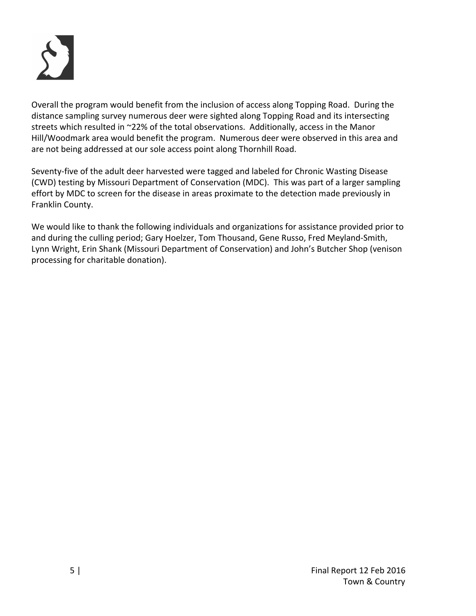

Overall the program would benefit from the inclusion of access along Topping Road. During the distance sampling survey numerous deer were sighted along Topping Road and its intersecting streets which resulted in ~22% of the total observations. Additionally, access in the Manor Hill/Woodmark area would benefit the program. Numerous deer were observed in this area and are not being addressed at our sole access point along Thornhill Road.

Seventy‐five of the adult deer harvested were tagged and labeled for Chronic Wasting Disease (CWD) testing by Missouri Department of Conservation (MDC). This was part of a larger sampling effort by MDC to screen for the disease in areas proximate to the detection made previously in Franklin County.

We would like to thank the following individuals and organizations for assistance provided prior to and during the culling period; Gary Hoelzer, Tom Thousand, Gene Russo, Fred Meyland‐Smith, Lynn Wright, Erin Shank (Missouri Department of Conservation) and John's Butcher Shop (venison processing for charitable donation).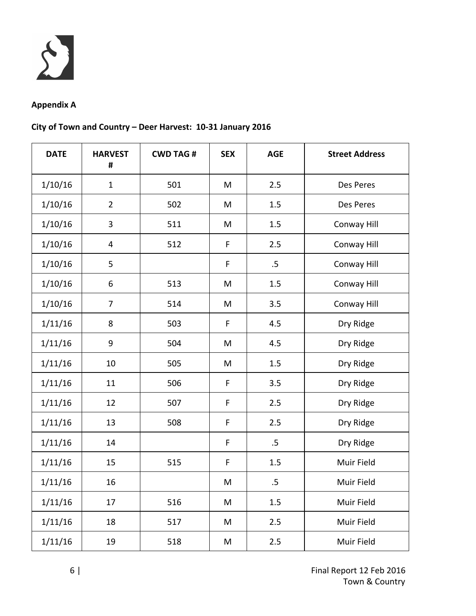

## **Appendix A**

## **City of Town and Country – Deer Harvest: 10‐31 January 2016**

| <b>DATE</b> | <b>HARVEST</b><br># | <b>CWD TAG#</b> | <b>SEX</b> | <b>AGE</b> | <b>Street Address</b> |
|-------------|---------------------|-----------------|------------|------------|-----------------------|
| 1/10/16     | $\mathbf{1}$        | 501             | M          | 2.5        | Des Peres             |
| 1/10/16     | $\overline{2}$      | 502             | M          | 1.5        | Des Peres             |
| 1/10/16     | 3                   | 511             | M          | 1.5        | Conway Hill           |
| 1/10/16     | 4                   | 512             | F          | 2.5        | Conway Hill           |
| 1/10/16     | 5                   |                 | F          | $.5\,$     | Conway Hill           |
| 1/10/16     | 6                   | 513             | M          | 1.5        | Conway Hill           |
| 1/10/16     | $\overline{7}$      | 514             | M          | 3.5        | Conway Hill           |
| 1/11/16     | 8                   | 503             | F          | 4.5        | Dry Ridge             |
| 1/11/16     | $9\,$               | 504             | M          | 4.5        | Dry Ridge             |
| 1/11/16     | 10                  | 505             | M          | 1.5        | Dry Ridge             |
| 1/11/16     | 11                  | 506             | F          | 3.5        | Dry Ridge             |
| 1/11/16     | 12                  | 507             | F          | 2.5        | Dry Ridge             |
| 1/11/16     | 13                  | 508             | F          | 2.5        | Dry Ridge             |
| 1/11/16     | 14                  |                 | F          | $.5\,$     | Dry Ridge             |
| 1/11/16     | 15                  | 515             | F          | 1.5        | Muir Field            |
| 1/11/16     | 16                  |                 | M          | .5         | Muir Field            |
| 1/11/16     | 17                  | 516             | M          | 1.5        | Muir Field            |
| 1/11/16     | 18                  | 517             | M          | 2.5        | Muir Field            |
| 1/11/16     | 19                  | 518             | M          | 2.5        | Muir Field            |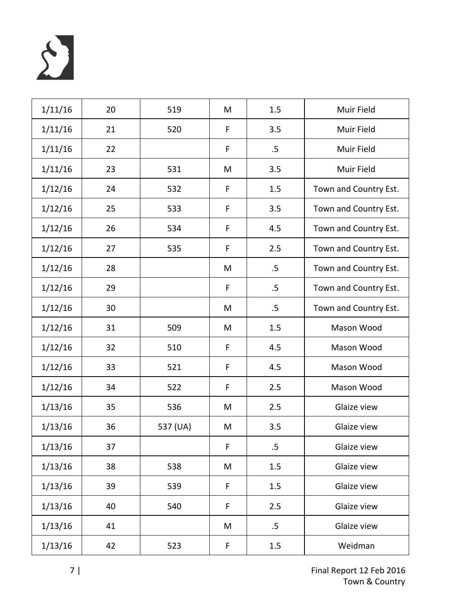

| 1/11/16 | 20 | 519      | M           | 1.5    | Muir Field            |
|---------|----|----------|-------------|--------|-----------------------|
| 1/11/16 | 21 | 520      | $\mathsf F$ | 3.5    | Muir Field            |
| 1/11/16 | 22 |          | F           | $.5\,$ | Muir Field            |
| 1/11/16 | 23 | 531      | M           | 3.5    | Muir Field            |
| 1/12/16 | 24 | 532      | F           | 1.5    | Town and Country Est. |
| 1/12/16 | 25 | 533      | $\mathsf F$ | 3.5    | Town and Country Est. |
| 1/12/16 | 26 | 534      | F           | 4.5    | Town and Country Est. |
| 1/12/16 | 27 | 535      | F           | 2.5    | Town and Country Est. |
| 1/12/16 | 28 |          | M           | $.5\,$ | Town and Country Est. |
| 1/12/16 | 29 |          | F           | $.5\,$ | Town and Country Est. |
| 1/12/16 | 30 |          | M           | $.5\,$ | Town and Country Est. |
| 1/12/16 | 31 | 509      | M           | 1.5    | Mason Wood            |
| 1/12/16 | 32 | 510      | F           | 4.5    | Mason Wood            |
| 1/12/16 | 33 | 521      | $\mathsf F$ | 4.5    | Mason Wood            |
| 1/12/16 | 34 | 522      | F           | 2.5    | Mason Wood            |
| 1/13/16 | 35 | 536      | M           | 2.5    | Glaize view           |
| 1/13/16 | 36 | 537 (UA) | M           | 3.5    | Glaize view           |
| 1/13/16 | 37 |          | F           | .5     | Glaize view           |
| 1/13/16 | 38 | 538      | M           | 1.5    | Glaize view           |
| 1/13/16 | 39 | 539      | F           | 1.5    | Glaize view           |
| 1/13/16 | 40 | 540      | F           | 2.5    | Glaize view           |
| 1/13/16 | 41 |          | M           | $.5\,$ | Glaize view           |
| 1/13/16 | 42 | 523      | F           | 1.5    | Weidman               |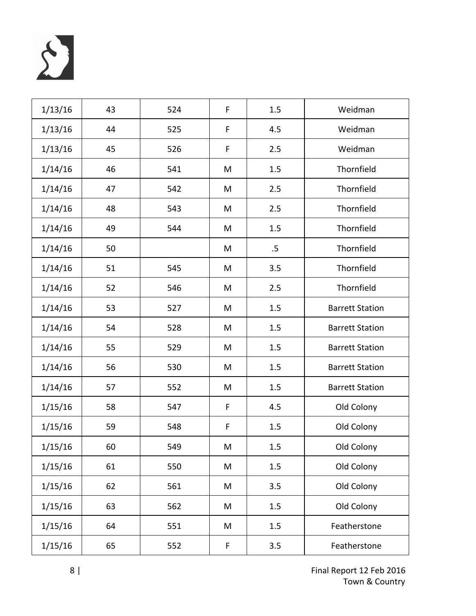

| 1/13/16 | 43 | 524 | F | 1.5 | Weidman                |
|---------|----|-----|---|-----|------------------------|
| 1/13/16 | 44 | 525 | F | 4.5 | Weidman                |
| 1/13/16 | 45 | 526 | F | 2.5 | Weidman                |
| 1/14/16 | 46 | 541 | M | 1.5 | Thornfield             |
| 1/14/16 | 47 | 542 | M | 2.5 | Thornfield             |
| 1/14/16 | 48 | 543 | M | 2.5 | Thornfield             |
| 1/14/16 | 49 | 544 | M | 1.5 | Thornfield             |
| 1/14/16 | 50 |     | M | .5  | Thornfield             |
| 1/14/16 | 51 | 545 | M | 3.5 | Thornfield             |
| 1/14/16 | 52 | 546 | M | 2.5 | Thornfield             |
| 1/14/16 | 53 | 527 | M | 1.5 | <b>Barrett Station</b> |
| 1/14/16 | 54 | 528 | M | 1.5 | <b>Barrett Station</b> |
| 1/14/16 | 55 | 529 | M | 1.5 | <b>Barrett Station</b> |
| 1/14/16 | 56 | 530 | M | 1.5 | <b>Barrett Station</b> |
| 1/14/16 | 57 | 552 | M | 1.5 | <b>Barrett Station</b> |
| 1/15/16 | 58 | 547 | F | 4.5 | Old Colony             |
| 1/15/16 | 59 | 548 | F | 1.5 | Old Colony             |
| 1/15/16 | 60 | 549 | M | 1.5 | Old Colony             |
| 1/15/16 | 61 | 550 | M | 1.5 | Old Colony             |
| 1/15/16 | 62 | 561 | M | 3.5 | Old Colony             |
| 1/15/16 | 63 | 562 | M | 1.5 | Old Colony             |
| 1/15/16 | 64 | 551 | M | 1.5 | Featherstone           |
| 1/15/16 | 65 | 552 | F | 3.5 | Featherstone           |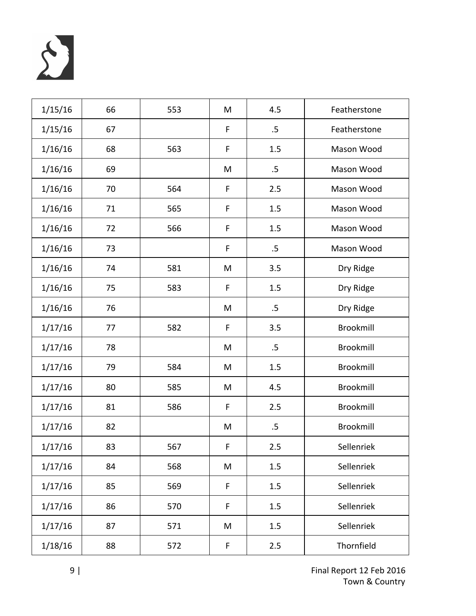

| 1/15/16 | 66 | 553 | M | 4.5    | Featherstone     |
|---------|----|-----|---|--------|------------------|
| 1/15/16 | 67 |     | F | .5     | Featherstone     |
| 1/16/16 | 68 | 563 | F | 1.5    | Mason Wood       |
| 1/16/16 | 69 |     | M | $.5\,$ | Mason Wood       |
| 1/16/16 | 70 | 564 | F | 2.5    | Mason Wood       |
| 1/16/16 | 71 | 565 | F | 1.5    | Mason Wood       |
| 1/16/16 | 72 | 566 | F | 1.5    | Mason Wood       |
| 1/16/16 | 73 |     | F | $.5\,$ | Mason Wood       |
| 1/16/16 | 74 | 581 | M | 3.5    | Dry Ridge        |
| 1/16/16 | 75 | 583 | F | 1.5    | Dry Ridge        |
| 1/16/16 | 76 |     | M | $.5\,$ | Dry Ridge        |
| 1/17/16 | 77 | 582 | F | 3.5    | Brookmill        |
| 1/17/16 | 78 |     | M | .5     | Brookmill        |
| 1/17/16 | 79 | 584 | M | 1.5    | Brookmill        |
| 1/17/16 | 80 | 585 | M | 4.5    | Brookmill        |
| 1/17/16 | 81 | 586 | F | 2.5    | <b>Brookmill</b> |
| 1/17/16 | 82 |     | M | .5     | <b>Brookmill</b> |
| 1/17/16 | 83 | 567 | F | 2.5    | Sellenriek       |
| 1/17/16 | 84 | 568 | M | 1.5    | Sellenriek       |
| 1/17/16 | 85 | 569 | F | 1.5    | Sellenriek       |
| 1/17/16 | 86 | 570 | F | 1.5    | Sellenriek       |
| 1/17/16 | 87 | 571 | M | 1.5    | Sellenriek       |
| 1/18/16 | 88 | 572 | F | 2.5    | Thornfield       |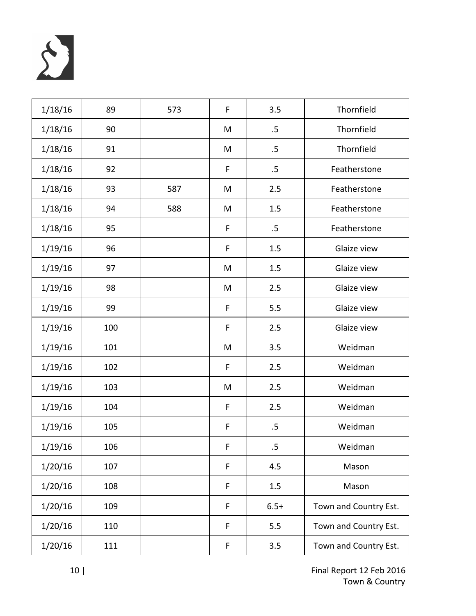

| 1/18/16 | 89  | 573 | F | 3.5    | Thornfield            |
|---------|-----|-----|---|--------|-----------------------|
| 1/18/16 | 90  |     | M | $.5\,$ | Thornfield            |
| 1/18/16 | 91  |     | M | $.5\,$ | Thornfield            |
| 1/18/16 | 92  |     | F | $.5\,$ | Featherstone          |
| 1/18/16 | 93  | 587 | M | 2.5    | Featherstone          |
| 1/18/16 | 94  | 588 | M | 1.5    | Featherstone          |
| 1/18/16 | 95  |     | F | $.5\,$ | Featherstone          |
| 1/19/16 | 96  |     | F | 1.5    | Glaize view           |
| 1/19/16 | 97  |     | M | 1.5    | Glaize view           |
| 1/19/16 | 98  |     | M | 2.5    | Glaize view           |
| 1/19/16 | 99  |     | F | 5.5    | Glaize view           |
| 1/19/16 | 100 |     | F | 2.5    | Glaize view           |
| 1/19/16 | 101 |     | M | 3.5    | Weidman               |
| 1/19/16 | 102 |     | F | 2.5    | Weidman               |
| 1/19/16 | 103 |     | M | 2.5    | Weidman               |
| 1/19/16 | 104 |     | F | 2.5    | Weidman               |
| 1/19/16 | 105 |     | F | $.5\,$ | Weidman               |
| 1/19/16 | 106 |     | F | .5     | Weidman               |
| 1/20/16 | 107 |     | F | 4.5    | Mason                 |
| 1/20/16 | 108 |     | F | 1.5    | Mason                 |
| 1/20/16 | 109 |     | F | $6.5+$ | Town and Country Est. |
| 1/20/16 | 110 |     | F | 5.5    | Town and Country Est. |
| 1/20/16 | 111 |     | F | 3.5    | Town and Country Est. |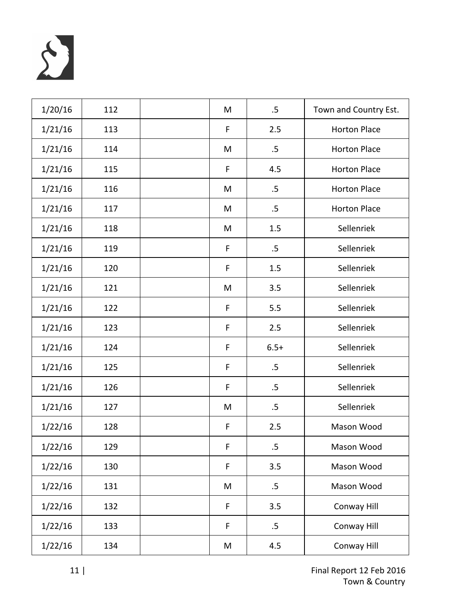

| 1/20/16 | 112 | M | $.5\,$ | Town and Country Est. |
|---------|-----|---|--------|-----------------------|
| 1/21/16 | 113 | F | 2.5    | <b>Horton Place</b>   |
| 1/21/16 | 114 | M | $.5\,$ | <b>Horton Place</b>   |
| 1/21/16 | 115 | F | 4.5    | <b>Horton Place</b>   |
| 1/21/16 | 116 | M | $.5\,$ | <b>Horton Place</b>   |
| 1/21/16 | 117 | M | $.5\,$ | <b>Horton Place</b>   |
| 1/21/16 | 118 | M | 1.5    | Sellenriek            |
| 1/21/16 | 119 | F | .5     | Sellenriek            |
| 1/21/16 | 120 | F | 1.5    | Sellenriek            |
| 1/21/16 | 121 | M | 3.5    | Sellenriek            |
| 1/21/16 | 122 | F | 5.5    | Sellenriek            |
| 1/21/16 | 123 | F | 2.5    | Sellenriek            |
| 1/21/16 | 124 | F | $6.5+$ | Sellenriek            |
| 1/21/16 | 125 | F | $.5\,$ | Sellenriek            |
| 1/21/16 | 126 | F | .5     | Sellenriek            |
| 1/21/16 | 127 | M | $.5\,$ | Sellenriek            |
| 1/22/16 | 128 | F | 2.5    | Mason Wood            |
| 1/22/16 | 129 | F | $.5\,$ | Mason Wood            |
| 1/22/16 | 130 | F | 3.5    | Mason Wood            |
| 1/22/16 | 131 | M | $.5\,$ | Mason Wood            |
| 1/22/16 | 132 | F | 3.5    | Conway Hill           |
| 1/22/16 | 133 | F | $.5\,$ | Conway Hill           |
| 1/22/16 | 134 | M | 4.5    | Conway Hill           |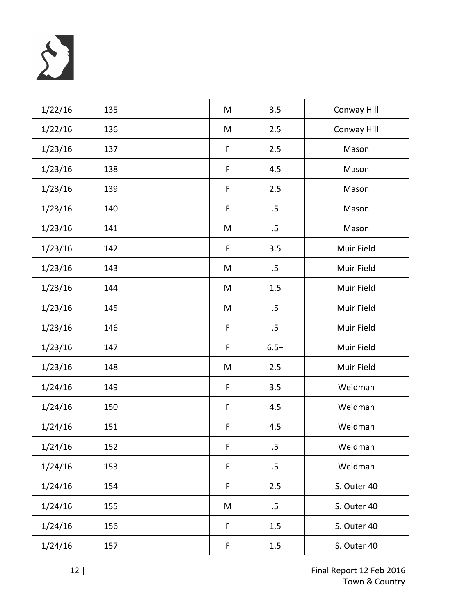

| 1/22/16 | 135 | M | 3.5    | Conway Hill |
|---------|-----|---|--------|-------------|
| 1/22/16 | 136 | M | 2.5    | Conway Hill |
| 1/23/16 | 137 | F | 2.5    | Mason       |
| 1/23/16 | 138 | F | 4.5    | Mason       |
| 1/23/16 | 139 | F | 2.5    | Mason       |
| 1/23/16 | 140 | F | .5     | Mason       |
| 1/23/16 | 141 | M | $.5\,$ | Mason       |
| 1/23/16 | 142 | F | 3.5    | Muir Field  |
| 1/23/16 | 143 | M | $.5\,$ | Muir Field  |
| 1/23/16 | 144 | M | 1.5    | Muir Field  |
| 1/23/16 | 145 | M | $.5\,$ | Muir Field  |
| 1/23/16 | 146 | F | $.5\,$ | Muir Field  |
| 1/23/16 | 147 | F | $6.5+$ | Muir Field  |
| 1/23/16 | 148 | M | 2.5    | Muir Field  |
| 1/24/16 | 149 | F | 3.5    | Weidman     |
| 1/24/16 | 150 | F | 4.5    | Weidman     |
| 1/24/16 | 151 | F | 4.5    | Weidman     |
| 1/24/16 | 152 | F | .5     | Weidman     |
| 1/24/16 | 153 | F | $.5\,$ | Weidman     |
| 1/24/16 | 154 | F | 2.5    | S. Outer 40 |
| 1/24/16 | 155 | M | $.5\,$ | S. Outer 40 |
| 1/24/16 | 156 | F | 1.5    | S. Outer 40 |
| 1/24/16 | 157 | F | 1.5    | S. Outer 40 |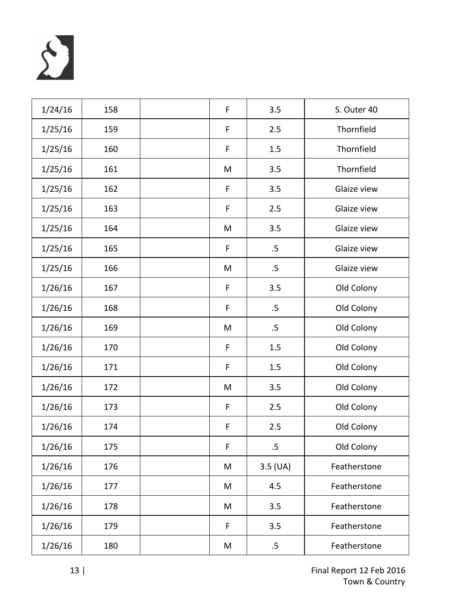

| 1/24/16 | 158 | F | 3.5        | S. Outer 40  |
|---------|-----|---|------------|--------------|
| 1/25/16 | 159 | F | 2.5        | Thornfield   |
| 1/25/16 | 160 | F | 1.5        | Thornfield   |
| 1/25/16 | 161 | M | 3.5        | Thornfield   |
| 1/25/16 | 162 | F | 3.5        | Glaize view  |
| 1/25/16 | 163 | F | 2.5        | Glaize view  |
| 1/25/16 | 164 | M | 3.5        | Glaize view  |
| 1/25/16 | 165 | F | .5         | Glaize view  |
| 1/25/16 | 166 | M | .5         | Glaize view  |
| 1/26/16 | 167 | F | 3.5        | Old Colony   |
| 1/26/16 | 168 | F | $.5\,$     | Old Colony   |
| 1/26/16 | 169 | M | .5         | Old Colony   |
| 1/26/16 | 170 | F | 1.5        | Old Colony   |
| 1/26/16 | 171 | F | 1.5        | Old Colony   |
| 1/26/16 | 172 | M | 3.5        | Old Colony   |
| 1/26/16 | 173 | F | 2.5        | Old Colony   |
| 1/26/16 | 174 | F | 2.5        | Old Colony   |
| 1/26/16 | 175 | F | .5         | Old Colony   |
| 1/26/16 | 176 | M | $3.5$ (UA) | Featherstone |
| 1/26/16 | 177 | M | 4.5        | Featherstone |
| 1/26/16 | 178 | M | 3.5        | Featherstone |
| 1/26/16 | 179 | F | 3.5        | Featherstone |
| 1/26/16 | 180 | M | $.5\,$     | Featherstone |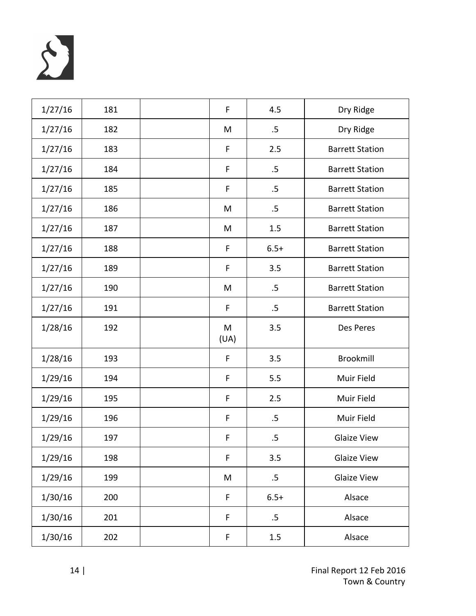

| 1/27/16 | 181 | F         | 4.5    | Dry Ridge              |
|---------|-----|-----------|--------|------------------------|
| 1/27/16 | 182 | M         | .5     | Dry Ridge              |
| 1/27/16 | 183 | F         | 2.5    | <b>Barrett Station</b> |
| 1/27/16 | 184 | F         | .5     | <b>Barrett Station</b> |
| 1/27/16 | 185 | F         | .5     | <b>Barrett Station</b> |
| 1/27/16 | 186 | M         | .5     | <b>Barrett Station</b> |
| 1/27/16 | 187 | M         | 1.5    | <b>Barrett Station</b> |
| 1/27/16 | 188 | F         | $6.5+$ | <b>Barrett Station</b> |
| 1/27/16 | 189 | F         | 3.5    | <b>Barrett Station</b> |
| 1/27/16 | 190 | M         | .5     | <b>Barrett Station</b> |
| 1/27/16 | 191 | F         | $.5\,$ | <b>Barrett Station</b> |
| 1/28/16 | 192 | M<br>(UA) | 3.5    | Des Peres              |
| 1/28/16 | 193 | F         | 3.5    | Brookmill              |
| 1/29/16 | 194 | F         | 5.5    | Muir Field             |
| 1/29/16 | 195 | F         | 2.5    | Muir Field             |
| 1/29/16 | 196 | F         | .5     | Muir Field             |
| 1/29/16 | 197 | F         | $.5\,$ | <b>Glaize View</b>     |
| 1/29/16 | 198 | F         | 3.5    | <b>Glaize View</b>     |
| 1/29/16 | 199 | M         | $.5\,$ | <b>Glaize View</b>     |
| 1/30/16 | 200 | F         | $6.5+$ | Alsace                 |
| 1/30/16 | 201 | F         | $.5\,$ | Alsace                 |
| 1/30/16 | 202 | F         | 1.5    | Alsace                 |